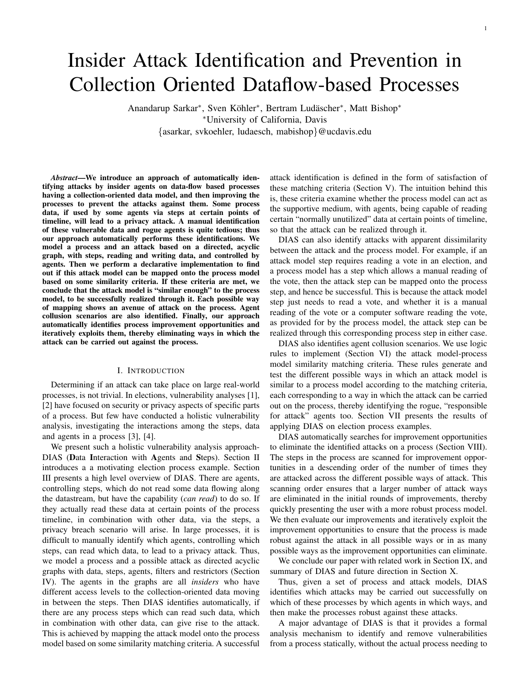# Insider Attack Identification and Prevention in Collection Oriented Dataflow-based Processes

Anandarup Sarkar<sup>\*</sup>, Sven Köhler<sup>\*</sup>, Bertram Ludäscher<sup>\*</sup>, Matt Bishop<sup>\*</sup> <sup>∗</sup>University of California, Davis {asarkar, svkoehler, ludaesch, mabishop}@ucdavis.edu

*Abstract*—We introduce an approach of automatically identifying attacks by insider agents on data-flow based processes having a collection-oriented data model, and then improving the processes to prevent the attacks against them. Some process data, if used by some agents via steps at certain points of timeline, will lead to a privacy attack. A manual identification of these vulnerable data and rogue agents is quite tedious; thus our approach automatically performs these identifications. We model a process and an attack based on a directed, acyclic graph, with steps, reading and writing data, and controlled by agents. Then we perform a declarative implementation to find out if this attack model can be mapped onto the process model based on some similarity criteria. If these criteria are met, we conclude that the attack model is "similar enough" to the process model, to be successfully realized through it. Each possible way of mapping shows an avenue of attack on the process. Agent collusion scenarios are also identified. Finally, our approach automatically identifies process improvement opportunities and iteratively exploits them, thereby eliminating ways in which the attack can be carried out against the process.

## I. INTRODUCTION

Determining if an attack can take place on large real-world processes, is not trivial. In elections, vulnerability analyses [1], [2] have focused on security or privacy aspects of specific parts of a process. But few have conducted a holistic vulnerability analysis, investigating the interactions among the steps, data and agents in a process [3], [4].

We present such a holistic vulnerability analysis approach-DIAS (Data Interaction with Agents and Steps). Section II introduces a a motivating election process example. Section III presents a high level overview of DIAS. There are agents, controlling steps, which do not read some data flowing along the datastream, but have the capability (*can read*) to do so. If they actually read these data at certain points of the process timeline, in combination with other data, via the steps, a privacy breach scenario will arise. In large processes, it is difficult to manually identify which agents, controlling which steps, can read which data, to lead to a privacy attack. Thus, we model a process and a possible attack as directed acyclic graphs with data, steps, agents, filters and restrictors (Section IV). The agents in the graphs are all *insiders* who have different access levels to the collection-oriented data moving in between the steps. Then DIAS identifies automatically, if there are any process steps which can read such data, which in combination with other data, can give rise to the attack. This is achieved by mapping the attack model onto the process model based on some similarity matching criteria. A successful

attack identification is defined in the form of satisfaction of these matching criteria (Section V). The intuition behind this is, these criteria examine whether the process model can act as the supportive medium, with agents, being capable of reading certain "normally unutilized" data at certain points of timeline, so that the attack can be realized through it.

DIAS can also identify attacks with apparent dissimilarity between the attack and the process model. For example, if an attack model step requires reading a vote in an election, and a process model has a step which allows a manual reading of the vote, then the attack step can be mapped onto the process step, and hence be successful. This is because the attack model step just needs to read a vote, and whether it is a manual reading of the vote or a computer software reading the vote, as provided for by the process model, the attack step can be realized through this corresponding process step in either case.

DIAS also identifies agent collusion scenarios. We use logic rules to implement (Section VI) the attack model-process model similarity matching criteria. These rules generate and test the different possible ways in which an attack model is similar to a process model according to the matching criteria, each corresponding to a way in which the attack can be carried out on the process, thereby identifying the rogue, "responsible for attack" agents too. Section VII presents the results of applying DIAS on election process examples.

DIAS automatically searches for improvement opportunities to eliminate the identified attacks on a process (Section VIII). The steps in the process are scanned for improvement opportunities in a descending order of the number of times they are attacked across the different possible ways of attack. This scanning order ensures that a larger number of attack ways are eliminated in the initial rounds of improvements, thereby quickly presenting the user with a more robust process model. We then evaluate our improvements and iteratively exploit the improvement opportunities to ensure that the process is made robust against the attack in all possible ways or in as many possible ways as the improvement opportunities can eliminate.

We conclude our paper with related work in Section IX, and summary of DIAS and future direction in Section X.

Thus, given a set of process and attack models, DIAS identifies which attacks may be carried out successfully on which of these processes by which agents in which ways, and then make the processes robust against these attacks.

A major advantage of DIAS is that it provides a formal analysis mechanism to identify and remove vulnerabilities from a process statically, without the actual process needing to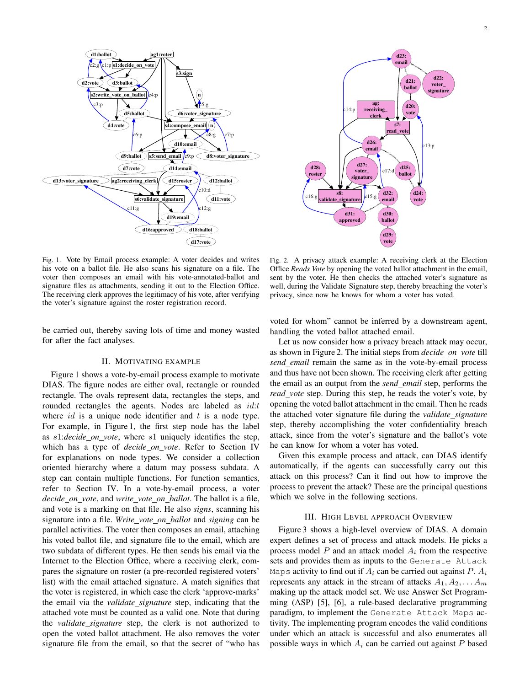



Fig. 1. Vote by Email process example: A voter decides and writes his vote on a ballot file. He also scans his signature on a file. The voter then composes an email with his vote-annotated-ballot and signature files as attachments, sending it out to the Election Office. The receiving clerk approves the legitimacy of his vote, after verifying the voter's signature against the roster registration record.

be carried out, thereby saving lots of time and money wasted for after the fact analyses.

## II. MOTIVATING EXAMPLE

Figure 1 shows a vote-by-email process example to motivate DIAS. The figure nodes are either oval, rectangle or rounded rectangle. The ovals represent data, rectangles the steps, and rounded rectangles the agents. Nodes are labeled as  $id:t$ where  $id$  is a unique node identifier and  $t$  is a node type. For example, in Figure 1, the first step node has the label as s1:*decide on vote*, where s1 uniquely identifies the step, which has a type of *decide on vote*. Refer to Section IV for explanations on node types. We consider a collection oriented hierarchy where a datum may possess subdata. A step can contain multiple functions. For function semantics, refer to Section IV. In a vote-by-email process, a voter *decide on vote*, and *write vote on ballot*. The ballot is a file, and vote is a marking on that file. He also *signs*, scanning his signature into a file. *Write vote on ballot* and *signing* can be parallel activities. The voter then composes an email, attaching his voted ballot file, and signature file to the email, which are two subdata of different types. He then sends his email via the Internet to the Election Office, where a receiving clerk, compares the signature on roster (a pre-recorded registered voters' list) with the email attached signature. A match signifies that the voter is registered, in which case the clerk 'approve-marks' the email via the *validate signature* step, indicating that the attached vote must be counted as a valid one. Note that during the *validate signature* step, the clerk is not authorized to open the voted ballot attachment. He also removes the voter signature file from the email, so that the secret of "who has

Fig. 2. A privacy attack example: A receiving clerk at the Election Office *Reads Vote* by opening the voted ballot attachment in the email, sent by the voter. He then checks the attached voter's signature as well, during the Validate Signature step, thereby breaching the voter's privacy, since now he knows for whom a voter has voted.

voted for whom" cannot be inferred by a downstream agent, handling the voted ballot attached email.

Let us now consider how a privacy breach attack may occur, as shown in Figure 2. The initial steps from *decide on vote* till *send email* remain the same as in the vote-by-email process and thus have not been shown. The receiving clerk after getting the email as an output from the *send email* step, performs the *read vote* step. During this step, he reads the voter's vote, by opening the voted ballot attachment in the email. Then he reads the attached voter signature file during the *validate signature* step, thereby accomplishing the voter confidentiality breach attack, since from the voter's signature and the ballot's vote he can know for whom a voter has voted.

Given this example process and attack, can DIAS identify automatically, if the agents can successfully carry out this attack on this process? Can it find out how to improve the process to prevent the attack? These are the principal questions which we solve in the following sections.

#### III. HIGH LEVEL APPROACH OVERVIEW

Figure 3 shows a high-level overview of DIAS. A domain expert defines a set of process and attack models. He picks a process model  $P$  and an attack model  $A_i$  from the respective sets and provides them as inputs to the Generate Attack Maps activity to find out if  $A_i$  can be carried out against P.  $A_i$ represents any attack in the stream of attacks  $A_1, A_2, \ldots, A_m$ making up the attack model set. We use Answer Set Programming (ASP) [5], [6], a rule-based declarative programming paradigm, to implement the Generate Attack Maps activity. The implementing program encodes the valid conditions under which an attack is successful and also enumerates all possible ways in which  $A_i$  can be carried out against  $P$  based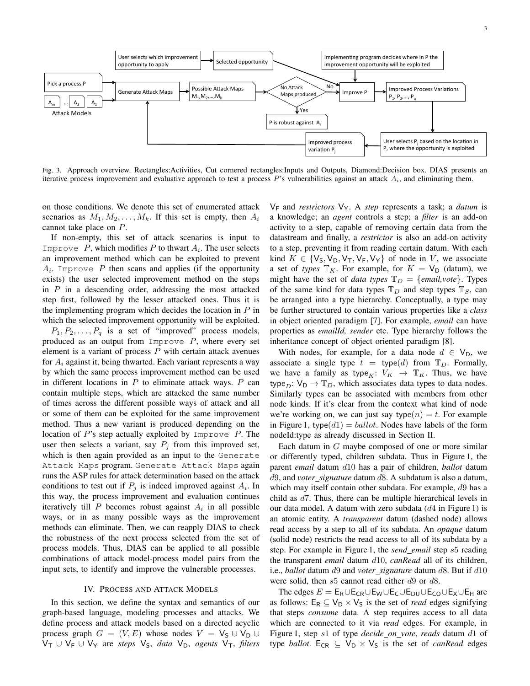

Fig. 3. Approach overview. Rectangles:Activities, Cut cornered rectangles:Inputs and Outputs, Diamond:Decision box. DIAS presents an iterative process improvement and evaluative approach to test a process  $P$ 's vulnerabilities against an attack  $A_i$ , and eliminating them.

on those conditions. We denote this set of enumerated attack scenarios as  $M_1, M_2, \ldots, M_k$ . If this set is empty, then  $A_i$ cannot take place on P.

If non-empty, this set of attack scenarios is input to Improve  $P$ , which modifies  $P$  to thwart  $A_i$ . The user selects an improvement method which can be exploited to prevent  $A_i$ . Improve  $P$  then scans and applies (if the opportunity exists) the user selected improvement method on the steps in  $P$  in a descending order, addressing the most attacked step first, followed by the lesser attacked ones. Thus it is the implementing program which decides the location in  $P$  in which the selected improvement opportunity will be exploited.

 $P_1, P_2, \ldots, P_q$  is a set of "improved" process models, produced as an output from  $Improve$   $P$ , where every set element is a variant of process  $P$  with certain attack avenues for  $A_i$  against it, being thwarted. Each variant represents a way by which the same process improvement method can be used in different locations in  $P$  to eliminate attack ways.  $P$  can contain multiple steps, which are attacked the same number of times across the different possible ways of attack and all or some of them can be exploited for the same improvement method. Thus a new variant is produced depending on the location of  $P$ 's step actually exploited by Improve  $P$ . The user then selects a variant, say  $P_i$  from this improved set, which is then again provided as an input to the Generate Attack Maps program. Generate Attack Maps again runs the ASP rules for attack determination based on the attack conditions to test out if  $P_j$  is indeed improved against  $A_i$ . In this way, the process improvement and evaluation continues iteratively till  $P$  becomes robust against  $A_i$  in all possible ways, or in as many possible ways as the improvement methods can eliminate. Then, we can reapply DIAS to check the robustness of the next process selected from the set of process models. Thus, DIAS can be applied to all possible combinations of attack model-process model pairs from the input sets, to identify and improve the vulnerable processes.

#### IV. PROCESS AND ATTACK MODELS

In this section, we define the syntax and semantics of our graph-based language, modeling processes and attacks. We define process and attack models based on a directed acyclic process graph  $G = (V, E)$  whose nodes  $V = V_S \cup V_D \cup$  $V_T$  ∪  $V_F$  ∪  $V_Y$  are *steps*  $V_S$ , *data*  $V_D$ , *agents*  $V_T$ , *filters* 

 $V_F$  and *restrictors*  $V_Y$ . A *step* represents a task; a *datum* is a knowledge; an *agent* controls a step; a *filter* is an add-on activity to a step, capable of removing certain data from the datastream and finally, a *restrictor* is also an add-on activity to a step, preventing it from reading certain datum. With each kind  $K \in \{V_S, V_D, V_T, V_F, V_Y\}$  of node in V, we associate a set of *types*  $\mathbb{T}_K$ . For example, for  $K = V_D$  (datum), we might have the set of *data types*  $\mathbb{T}_D = \{ \text{email}, \text{vote} \}.$  Types of the same kind for data types  $\mathbb{T}_D$  and step types  $\mathbb{T}_S$ , can be arranged into a type hierarchy. Conceptually, a type may be further structured to contain various properties like a *class* in object oriented paradigm [7]. For example, *email* can have properties as *emailId, sender* etc. Type hierarchy follows the inheritance concept of object oriented paradigm [8].

With nodes, for example, for a data node  $d \in V_D$ , we associate a single type  $t = \text{type}(d)$  from  $\mathbb{T}_D$ . Formally, we have a family as type<sub>K</sub>:  $V_K \rightarrow \mathbb{T}_K$ . Thus, we have type<sub>D</sub>:  $V_D \rightarrow T_D$ , which associates data types to data nodes. Similarly types can be associated with members from other node kinds. If it's clear from the context what kind of node we're working on, we can just say type $(n) = t$ . For example in Figure 1, type( $d1$ ) = ballot. Nodes have labels of the form nodeId:type as already discussed in Section II.

Each datum in G maybe composed of one or more similar or differently typed, children subdata. Thus in Figure 1, the parent *email* datum d10 has a pair of children, *ballot* datum d9, and *voter signature* datum d8. A subdatum is also a datum, which may itself contain other subdata. For example, d9 has a child as d7. Thus, there can be multiple hierarchical levels in our data model. A datum with zero subdata  $(d4$  in Figure 1) is an atomic entity. A *transparent* datum (dashed node) allows read access by a step to all of its subdata. An *opaque* datum (solid node) restricts the read access to all of its subdata by a step. For example in Figure 1, the *send email* step s5 reading the transparent *email* datum d10, *canRead* all of its children, i.e., *ballot* datum d9 and *voter\_signature* datum d8. But if d10 were solid, then  $s5$  cannot read either  $d9$  or  $d8$ .

The edges  $E = E_R \cup E_{CR} \cup E_W \cup E_C \cup E_{DU} \cup E_{CO} \cup E_X \cup E_H$  are as follows:  $E_R \subseteq V_D \times V_S$  is the set of *read* edges signifying that steps *consume* data. A step requires access to all data which are connected to it via *read* edges. For example, in Figure 1, step s1 of type *decide on vote*, *reads* datum d1 of type *ballot*.  $E_{CR} \subseteq V_D \times V_S$  is the set of *canRead* edges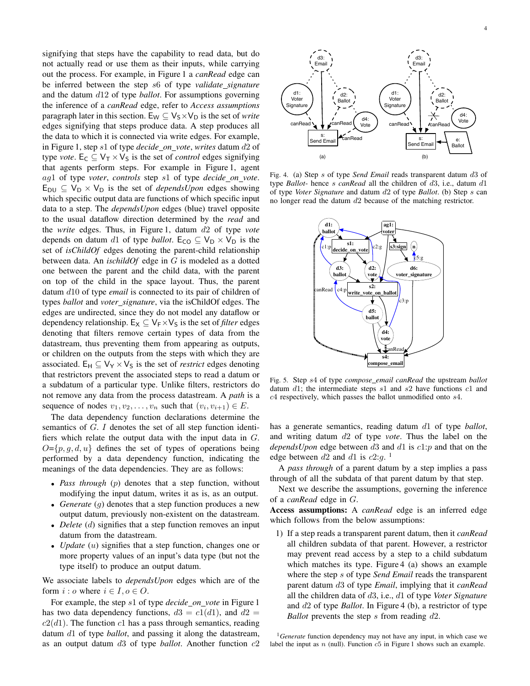signifying that steps have the capability to read data, but do not actually read or use them as their inputs, while carrying out the process. For example, in Figure 1 a *canRead* edge can be inferred between the step s6 of type *validate signature* and the datum d12 of type *ballot*. For assumptions governing the inference of a *canRead* edge, refer to *Access assumptions* paragraph later in this section.  $E_W \nsubseteq V_S \times V_D$  is the set of *write* edges signifying that steps produce data. A step produces all the data to which it is connected via write edges. For example, in Figure 1, step s1 of type *decide on vote*, *writes* datum d2 of type *vote*. E<sub>C</sub>  $\subseteq$  V<sub>T</sub>  $\times$  V<sub>S</sub> is the set of *control* edges signifying that agents perform steps. For example in Figure 1, agent ag1 of type *voter*, *controls* step s1 of type *decide on vote*.  $E_{DU} \subseteq V_D \times V_D$  is the set of *dependsUpon* edges showing which specific output data are functions of which specific input data to a step. The *dependsUpon* edges (blue) travel opposite to the usual dataflow direction determined by the *read* and the *write* edges. Thus, in Figure 1, datum d2 of type *vote* depends on datum d1 of type *ballot*. E<sub>CO</sub>  $\subseteq$  V<sub>D</sub>  $\times$  V<sub>D</sub> is the set of *isChildOf* edges denoting the parent-child relationship between data. An *ischildOf* edge in G is modeled as a dotted one between the parent and the child data, with the parent on top of the child in the space layout. Thus, the parent datum d10 of type *email* is connected to its pair of children of types *ballot* and *voter signature*, via the isChildOf edges. The edges are undirected, since they do not model any dataflow or dependency relationship.  $E_X \subseteq V_F \times V_S$  is the set of *filter* edges denoting that filters remove certain types of data from the datastream, thus preventing them from appearing as outputs, or children on the outputs from the steps with which they are associated. E<sub>H</sub>  $\subseteq$  V<sub>Y</sub>  $\times$  V<sub>S</sub> is the set of *restrict* edges denoting that restrictors prevent the associated steps to read a datum or a subdatum of a particular type. Unlike filters, restrictors do not remove any data from the process datastream. A *path* is a sequence of nodes  $v_1, v_2, \ldots, v_n$  such that  $(v_i, v_{i+1}) \in E$ .

The data dependency function declarations determine the semantics of G. I denotes the set of all step function identifiers which relate the output data with the input data in G.  $O=\{p, q, d, u\}$  defines the set of types of operations being performed by a data dependency function, indicating the meanings of the data dependencies. They are as follows:

- *Pass through* (p) denotes that a step function, without modifying the input datum, writes it as is, as an output.
- *Generate* (g) denotes that a step function produces a new output datum, previously non-existent on the datastream.
- *Delete* (d) signifies that a step function removes an input datum from the datastream.
- *Update* (u) signifies that a step function, changes one or more property values of an input's data type (but not the type itself) to produce an output datum.

We associate labels to *dependsUpon* edges which are of the form  $i : o$  where  $i \in I, o \in O$ .

For example, the step s1 of type *decide on vote* in Figure 1 has two data dependency functions,  $d3 = c1(d1)$ , and  $d2 =$  $c2(d1)$ . The function  $c1$  has a pass through semantics, reading datum d1 of type *ballot*, and passing it along the datastream, as an output datum d3 of type *ballot*. Another function c2



Fig. 4. (a) Step s of type *Send Email* reads transparent datum d3 of type *Ballot*- hence s *canRead* all the children of d3, i.e., datum d1 of type *Voter Signature* and datum d2 of type *Ballot*. (b) Step s can no longer read the datum d2 because of the matching restrictor.



Fig. 5. Step s4 of type *compose email canRead* the upstream *ballot* datum  $d1$ ; the intermediate steps  $s1$  and  $s2$  have functions  $c1$  and c4 respectively, which passes the ballot unmodified onto s4.

has a generate semantics, reading datum d1 of type *ballot*, and writing datum d2 of type *vote*. Thus the label on the *dependsUpon* edge between d3 and d1 is c1:p and that on the edge between  $d2$  and  $d1$  is  $c2:g$ .<sup>1</sup>

A *pass through* of a parent datum by a step implies a pass through of all the subdata of that parent datum by that step.

Next we describe the assumptions, governing the inference of a *canRead* edge in G.

Access assumptions: A *canRead* edge is an inferred edge which follows from the below assumptions:

1) If a step reads a transparent parent datum, then it *canRead* all children subdata of that parent. However, a restrictor may prevent read access by a step to a child subdatum which matches its type. Figure 4 (a) shows an example where the step s of type *Send Email* reads the transparent parent datum d3 of type *Email*, implying that it *canRead* all the children data of d3, i.e., d1 of type *Voter Signature* and d2 of type *Ballot*. In Figure 4 (b), a restrictor of type *Ballot* prevents the step s from reading d2.

<sup>1</sup>*Generate* function dependency may not have any input, in which case we label the input as  $n$  (null). Function  $c5$  in Figure 1 shows such an example.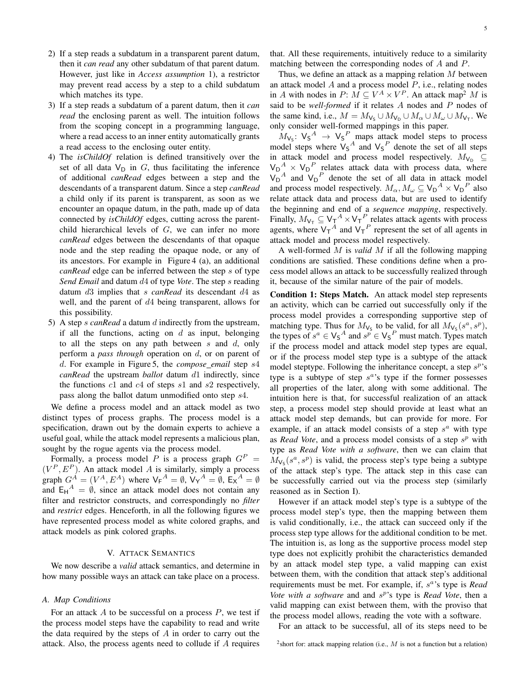- 2) If a step reads a subdatum in a transparent parent datum, then it *can read* any other subdatum of that parent datum. However, just like in *Access assumption* 1), a restrictor may prevent read access by a step to a child subdatum which matches its type.
- 3) If a step reads a subdatum of a parent datum, then it *can read* the enclosing parent as well. The intuition follows from the scoping concept in a programming language, where a read access to an inner entity automatically grants a read access to the enclosing outer entity.
- 4) The *isChildOf* relation is defined transitively over the set of all data  $V_D$  in G, thus facilitating the inference of additional *canRead* edges between a step and the descendants of a transparent datum. Since a step *canRead* a child only if its parent is transparent, as soon as we encounter an opaque datum, in the path, made up of data connected by *isChildOf* edges, cutting across the parentchild hierarchical levels of G, we can infer no more *canRead* edges between the descendants of that opaque node and the step reading the opaque node, or any of its ancestors. For example in Figure 4 (a), an additional *canRead* edge can be inferred between the step s of type *Send Email* and datum d4 of type *Vote*. The step s reading datum d3 implies that s *canRead* its descendant d4 as well, and the parent of d4 being transparent, allows for this possibility.
- 5) A step s *canRead* a datum d indirectly from the upstream, if all the functions, acting on  $d$  as input, belonging to all the steps on any path between  $s$  and  $d$ , only perform a *pass through* operation on d, or on parent of d. For example in Figure 5, the *compose email* step s4 *canRead* the upstream *ballot* datum d1 indirectly, since the functions  $c1$  and  $c4$  of steps  $s1$  and  $s2$  respectively, pass along the ballot datum unmodified onto step s4.

We define a process model and an attack model as two distinct types of process graphs. The process model is a specification, drawn out by the domain experts to achieve a useful goal, while the attack model represents a malicious plan, sought by the rogue agents via the process model.

Formally, a process model P is a process graph  $G<sup>P</sup>$  =  $(V^P, E^P)$ . An attack model A is similarly, simply a process graph  $G^A = (V^A, E^A)$  where  $V_F{}^A = \emptyset$ ,  $V_Y{}^A = \emptyset$ ,  $E_X{}^A = \emptyset$ and  $E_H^A = \emptyset$ , since an attack model does not contain any filter and restrictor constructs, and correspondingly no *filter* and *restrict* edges. Henceforth, in all the following figures we have represented process model as white colored graphs, and attack models as pink colored graphs.

## V. ATTACK SEMANTICS

We now describe a *valid* attack semantics, and determine in how many possible ways an attack can take place on a process.

## *A. Map Conditions*

For an attack  $A$  to be successful on a process  $P$ , we test if the process model steps have the capability to read and write the data required by the steps of  $A$  in order to carry out the attack. Also, the process agents need to collude if A requires that. All these requirements, intuitively reduce to a similarity matching between the corresponding nodes of A and P.

Thus, we define an attack as a mapping relation  $M$  between an attack model  $A$  and a process model  $P$ , i.e., relating nodes in A with nodes in  $P: M \subseteq V^A \times V^P$ . An attack map<sup>2</sup> M is said to be *well-formed* if it relates A nodes and P nodes of the same kind, i.e.,  $M = M_{V_S} \cup M_{V_D} \cup M_{\alpha} \cup M_{\omega} \cup M_{V_T}$ . We only consider well-formed mappings in this paper.

 $M_{\text{V}_\text{S}}$ :  $\text{V}_\text{S}^A \rightarrow \text{V}_\text{S}^P$  maps attack model steps to process model steps where  $V_S^A$  and  $V_S^P$  denote the set of all steps in attack model and process model respectively.  $M_{\rm V_D} \subseteq$  $V_D^A \times V_D^P$  relates attack data with process data, where  $V_D^A$  and  $V_D^P$  denote the set of all data in attack model and process model respectively.  $M_{\alpha}$ ,  $M_{\omega} \subseteq V_D^A \times V_D^P$  also relate attack data and process data, but are used to identify the beginning and end of a *sequence mapping*, respectively. Finally,  $M_{V_T} \subseteq V_T^A \times V_T^P$  relates attack agents with process agents, where  $V_T^A$  and  $V_T^P$  represent the set of all agents in attack model and process model respectively.

A well-formed M is *valid* M if all the following mapping conditions are satisfied. These conditions define when a process model allows an attack to be successfully realized through it, because of the similar nature of the pair of models.

Condition 1: Steps Match. An attack model step represents an activity, which can be carried out successfully only if the process model provides a corresponding supportive step of matching type. Thus for  $M_{\mathsf{V}_\mathsf{S}}$  to be valid, for all  $M_{\mathsf{V}_\mathsf{S}}(s^a, s^p)$ , the types of  $s^a \in V_S^A$  and  $s^p \in V_S^P$  must match. Types match if the process model and attack model step types are equal, or if the process model step type is a subtype of the attack model steptype. Following the inheritance concept, a step  $s^p$ 's type is a subtype of step  $s^a$ 's type if the former possesses all properties of the later, along with some additional. The intuition here is that, for successful realization of an attack step, a process model step should provide at least what an attack model step demands, but can provide for more. For example, if an attack model consists of a step  $s^a$  with type as *Read Vote*, and a process model consists of a step  $s^p$  with type as *Read Vote with a software*, then we can claim that  $M_{\text{Vs}}(s^a, s^p)$  is valid, the process step's type being a subtype of the attack step's type. The attack step in this case can be successfully carried out via the process step (similarly reasoned as in Section I).

However if an attack model step's type is a subtype of the process model step's type, then the mapping between them is valid conditionally, i.e., the attack can succeed only if the process step type allows for the additional condition to be met. The intuition is, as long as the supportive process model step type does not explicitly prohibit the characteristics demanded by an attack model step type, a valid mapping can exist between them, with the condition that attack step's additional requirements must be met. For example, if, s a 's type is *Read* Vote with a software and and s<sup>p</sup>'s type is *Read Vote*, then a valid mapping can exist between them, with the proviso that the process model allows, reading the vote with a software.

For an attack to be successful, all of its steps need to be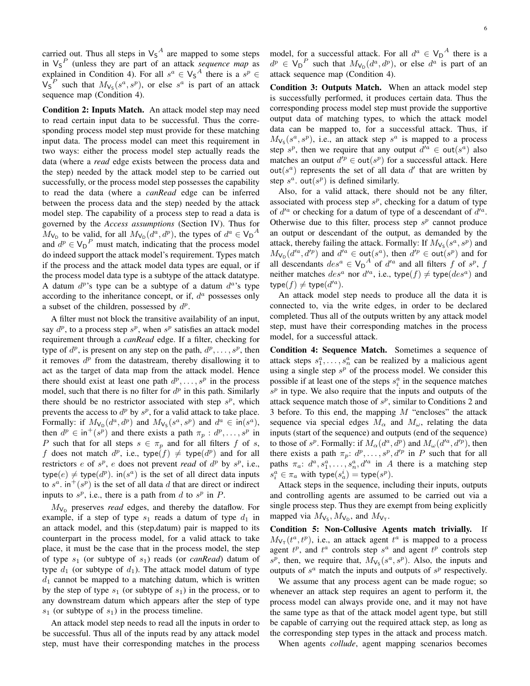carried out. Thus all steps in  $V_5{}^A$  are mapped to some steps in  $V_5^P$  (unless they are part of an attack *sequence map* as explained in Condition 4). For all  $s^a \in V_S^A$  there is a  $s^p \in$  $V_5^P$  such that  $M_{V_5}(s^a, s^p)$ , or else  $s^a$  is part of an attack sequence map (Condition 4).

Condition 2: Inputs Match. An attack model step may need to read certain input data to be successful. Thus the corresponding process model step must provide for these matching input data. The process model can meet this requirement in two ways: either the process model step actually reads the data (where a *read* edge exists between the process data and the step) needed by the attack model step to be carried out successfully, or the process model step possesses the capability to read the data (where a *canRead* edge can be inferred between the process data and the step) needed by the attack model step. The capability of a process step to read a data is governed by the *Access assumptions* (Section IV). Thus for  $M_{\mathsf{V}_{\mathsf{D}}}$  to be valid, for all  $M_{\mathsf{V}_{\mathsf{D}}}(d^a, d^p)$ , the types of  $d^a \in {\mathsf{V}_{\mathsf{D}}}^A$ and  $d^p \in V_D^P$  must match, indicating that the process model do indeed support the attack model's requirement. Types match if the process and the attack model data types are equal, or if the process model data type is a subtype of the attack datatype. A datum  $d^{p}$ 's type can be a subtype of a datum  $d^{a}$ 's type according to the inheritance concept, or if,  $d<sup>a</sup>$  possesses only a subset of the children, possessed by  $d^p$ .

A filter must not block the transitive availability of an input, say  $d^p$ , to a process step  $s^p$ , when  $s^p$  satisfies an attack model requirement through a *canRead* edge. If a filter, checking for type of  $d^p$ , is present on any step on the path,  $d^p, \ldots, s^p$ , then it removes  $d<sup>p</sup>$  from the datastream, thereby disallowing it to act as the target of data map from the attack model. Hence there should exist at least one path  $d^p, \ldots, s^p$  in the process model, such that there is no filter for  $d^p$  in this path. Similarly there should be no restrictor associated with step  $s^p$ , which prevents the access to  $d^p$  by  $s^p$ , for a valid attack to take place. Formally: if  $M_{\mathsf{V}_{\mathsf{D}}}(d^a, d^p)$  and  $M_{\mathsf{V}_{\mathsf{S}}}(s^a, s^p)$  and  $d^a \in \mathsf{in}(s^a)$ , then  $d^p \in \text{in}^+(s^p)$  and there exists a path  $\pi_p : d^p, \dots, s^p$  in P such that for all steps  $s \in \pi_p$  and for all filters f of s, f does not match  $d^p$ , i.e., type $(f) \neq$  type $(d^p)$  and for all restrictors e of  $s^p$ , e does not prevent *read* of  $d^p$  by  $s^p$ , i.e., type $(e) \neq$  type $(d^p)$ . in $(s^a)$  is the set of all direct data inputs to  $s^a$ . in<sup>+</sup>( $s^p$ ) is the set of all data d that are direct or indirect inputs to  $s^p$ , i.e., there is a path from d to  $s^p$  in P.

 $M_{\rm V_D}$  preserves *read* edges, and thereby the dataflow. For example, if a step of type  $s_1$  reads a datum of type  $d_1$  in an attack model, and this (step,datum) pair is mapped to its counterpart in the process model, for a valid attack to take place, it must be the case that in the process model, the step of type  $s_1$  (or subtype of  $s_1$ ) reads (or *canRead*) datum of type  $d_1$  (or subtype of  $d_1$ ). The attack model datum of type  $d_1$  cannot be mapped to a matching datum, which is written by the step of type  $s_1$  (or subtype of  $s_1$ ) in the process, or to any downstream datum which appears after the step of type  $s_1$  (or subtype of  $s_1$ ) in the process timeline.

An attack model step needs to read all the inputs in order to be successful. Thus all of the inputs read by any attack model step, must have their corresponding matches in the process

model, for a successful attack. For all  $d^a \in V_D^A$  there is a  $d^p \in V_D^P$  such that  $M_{V_D}(d^a, d^p)$ , or else  $d^a$  is part of an attack sequence map (Condition 4).

Condition 3: Outputs Match. When an attack model step is successfully performed, it produces certain data. Thus the corresponding process model step must provide the supportive output data of matching types, to which the attack model data can be mapped to, for a successful attack. Thus, if  $M_{\text{Vs}}(s^a, s^p)$ , i.e., an attack step  $s^a$  is mapped to a process step  $s^p$ , then we require that any output  $d'^a \in \text{out}(s^a)$  also matches an output  $d'^p \in \text{out}(s^p)$  for a successful attack. Here out( $s^a$ ) represents the set of all data  $d'$  that are written by step  $s^a$ . out $(s^p)$  is defined similarly.

Also, for a valid attack, there should not be any filter, associated with process step  $s^p$ , checking for a datum of type of  $d'^a$  or checking for a datum of type of a descendant of  $d'^a$ . Otherwise due to this filter, process step  $s^p$  cannot produce an output or descendant of the output, as demanded by the attack, thereby failing the attack. Formally: If  $M_{\mathsf{V}_{\mathsf{S}}}(s^a, s^p)$  and  $M_{\mathsf{V}_{\mathsf{D}}}(d'^a, d'^p)$  and  $d'^a \in \mathsf{out}(s^a)$ , then  $d'^p \in \mathsf{out}(s^p)$  and for all descendants  $des^a \in V_D^A$  of  $d'^a$  and all filters f of  $s^p$ , f neither matches  $des^a$  nor  $d'^a$ , i.e., type $(f) \neq$  type $(des^a)$  and type $(f) \neq$  type $(d'^a)$ .

An attack model step needs to produce all the data it is connected to, via the write edges, in order to be declared completed. Thus all of the outputs written by any attack model step, must have their corresponding matches in the process model, for a successful attack.

Condition 4: Sequence Match. Sometimes a sequence of attack steps  $s_1^a, \ldots, s_n^a$  can be realized by a malicious agent using a single step  $s^p$  of the process model. We consider this possible if at least one of the steps  $s_i^a$  in the sequence matches  $s<sup>p</sup>$  in type. We also require that the inputs and outputs of the attack sequence match those of  $s^p$ , similar to Conditions 2 and 3 before. To this end, the mapping  $M$  "encloses" the attack sequence via special edges  $M_{\alpha}$  and  $M_{\omega}$ , relating the data inputs (start of the sequence) and outputs (end of the sequence) to those of  $s^p$ . Formally: if  $M_\alpha(d^a, d^p)$  and  $M_\omega(d'^a, d'^p)$ , then there exists a path  $\pi_p: d^p, \ldots, s^p, d'^p$  in P such that for all paths  $\pi_a$ :  $d^a$ ,  $s_1^a$ , ...,  $s_n^a$ ,  $d'^a$  in A there is a matching step  $s_i^a \in \pi_a$  with type $(s_a^i) =$  type $(s^p)$ .

Attack steps in the sequence, including their inputs, outputs and controlling agents are assumed to be carried out via a single process step. Thus they are exempt from being explicitly mapped via  $M_{V_S}$ ,  $M_{V_D}$ , and  $M_{V_T}$ .

Condition 5: Non-Collusive Agents match trivially. If  $M_{V_{\mathsf{T}}}(t^a, t^p)$ , i.e., an attack agent  $t^a$  is mapped to a process agent  $t^p$ , and  $t^a$  controls step  $s^a$  and agent  $t^p$  controls step  $s^p$ , then, we require that,  $M_{\mathsf{V}_\mathsf{S}}(s^a, s^p)$ . Also, the inputs and outputs of  $s^a$  match the inputs and outputs of  $s^p$  respectively.

We assume that any process agent can be made rogue; so whenever an attack step requires an agent to perform it, the process model can always provide one, and it may not have the same type as that of the attack model agent type, but still be capable of carrying out the required attack step, as long as the corresponding step types in the attack and process match.

When agents *collude*, agent mapping scenarios becomes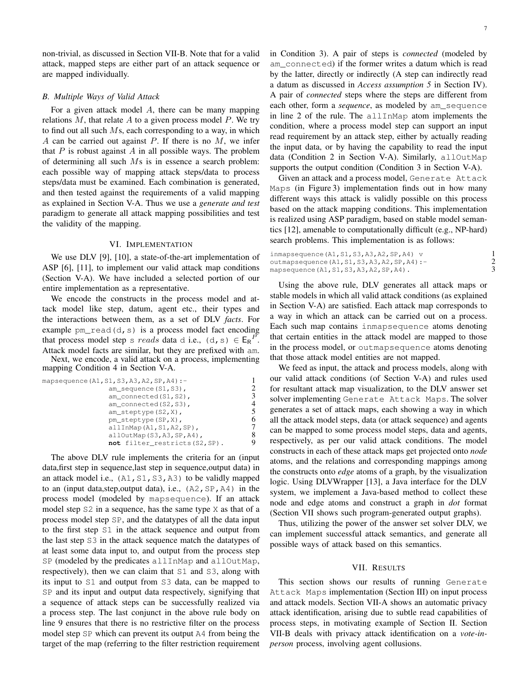non-trivial, as discussed in Section VII-B. Note that for a valid attack, mapped steps are either part of an attack sequence or are mapped individually.

## *B. Multiple Ways of Valid Attack*

For a given attack model  $A$ , there can be many mapping relations  $M$ , that relate  $A$  to a given process model  $P$ . We try to find out all such  $Ms$ , each corresponding to a way, in which A can be carried out against  $P$ . If there is no  $M$ , we infer that  $P$  is robust against  $A$  in all possible ways. The problem of determining all such  $Ms$  is in essence a search problem: each possible way of mapping attack steps/data to process steps/data must be examined. Each combination is generated, and then tested against the requirements of a valid mapping as explained in Section V-A. Thus we use a *generate and test* paradigm to generate all attack mapping possibilities and test the validity of the mapping.

## VI. IMPLEMENTATION

We use DLV [9], [10], a state-of-the-art implementation of ASP [6], [11], to implement our valid attack map conditions (Section V-A). We have included a selected portion of our entire implementation as a representative.

We encode the constructs in the process model and attack model like step, datum, agent etc., their types and the interactions between them, as a set of DLV *facts*. For example  $pm\_read(d, s)$  is a process model fact encoding that process model step s reads data d i.e.,  $(d, s) \in E_R^P$ . Attack model facts are similar, but they are prefixed with am. Next, we encode, a valid attack on a process, implementing mapping Condition 4 in Section V-A.

| mapsequence (A1, S1, S3, A3, A2, SP, A4) :-<br>$am$ sequence $(S1, S3)$ ,<br>am connected (S1, S2), |   |
|-----------------------------------------------------------------------------------------------------|---|
|                                                                                                     | 4 |
| am connected (S2, S3),<br>$am\_steptype(S2, X)$ ,                                                   | 5 |
| pm steptype (SP, X),                                                                                | 6 |
| $allInMap(A1, S1, A2, SP)$ ,<br>$allOutMap(S3, A3, SP, A4)$ ,                                       |   |
| not filter restricts (S2, SP).                                                                      |   |

The above DLV rule implements the criteria for an (input data,first step in sequence,last step in sequence,output data) in an attack model i.e.,  $(A1, S1, S3, A3)$  to be validly mapped to an (input data, step, output data), i.e.,  $(A2, SP, A4)$  in the process model (modeled by mapsequence). If an attack model step S2 in a sequence, has the same type X as that of a process model step SP, and the datatypes of all the data input to the first step S1 in the attack sequence and output from the last step S3 in the attack sequence match the datatypes of at least some data input to, and output from the process step SP (modeled by the predicates allInMap and allOutMap, respectively), then we can claim that S1 and S3, along with its input to S1 and output from S3 data, can be mapped to SP and its input and output data respectively, signifying that a sequence of attack steps can be successfully realized via a process step. The last conjunct in the above rule body on line 9 ensures that there is no restrictive filter on the process model step SP which can prevent its output A4 from being the target of the map (referring to the filter restriction requirement in Condition 3). A pair of steps is *connected* (modeled by am\_connected) if the former writes a datum which is read by the latter, directly or indirectly (A step can indirectly read a datum as discussed in *Access assumption 5* in Section IV). A pair of *connected* steps where the steps are different from each other, form a *sequence*, as modeled by am\_sequence in line 2 of the rule. The allInMap atom implements the condition, where a process model step can support an input read requirement by an attack step, either by actually reading the input data, or by having the capability to read the input data (Condition 2 in Section V-A). Similarly, allOutMap supports the output condition (Condition 3 in Section V-A).

Given an attack and a process model, Generate Attack Maps (in Figure 3) implementation finds out in how many different ways this attack is validly possible on this process based on the attack mapping conditions. This implementation is realized using ASP paradigm, based on stable model semantics [12], amenable to computationally difficult (e.g., NP-hard) search problems. This implementation is as follows:

| inmapsequence $(A1, S1, S3, A3, A2, SP, A4)$ v   |  |
|--------------------------------------------------|--|
| outmapsequence $(A1, S1, S3, A3, A2, SP, A4)$ :- |  |
| mapsequence $(A1, S1, S3, A3, A2, SP, A4)$ .     |  |

Using the above rule, DLV generates all attack maps or stable models in which all valid attack conditions (as explained in Section V-A) are satisfied. Each attack map corresponds to a way in which an attack can be carried out on a process. Each such map contains inmapsequence atoms denoting that certain entities in the attack model are mapped to those in the process model, or outmapsequence atoms denoting that those attack model entities are not mapped.

We feed as input, the attack and process models, along with our valid attack conditions (of Section V-A) and rules used for resultant attack map visualization, to the DLV answer set solver implementing Generate Attack Maps. The solver generates a set of attack maps, each showing a way in which all the attack model steps, data (or attack sequence) and agents can be mapped to some process model steps, data and agents, respectively, as per our valid attack conditions. The model constructs in each of these attack maps get projected onto *node* atoms, and the relations and corresponding mappings among the constructs onto *edge* atoms of a graph, by the visualization logic. Using DLVWrapper [13], a Java interface for the DLV system, we implement a Java-based method to collect these node and edge atoms and construct a graph in *dot* format (Section VII shows such program-generated output graphs).

Thus, utilizing the power of the answer set solver DLV, we can implement successful attack semantics, and generate all possible ways of attack based on this semantics.

## VII. RESULTS

This section shows our results of running Generate Attack Maps implementation (Section III) on input process and attack models. Section VII-A shows an automatic privacy attack identification, arising due to subtle read capabilities of process steps, in motivating example of Section II. Section VII-B deals with privacy attack identification on a *vote-inperson* process, involving agent collusions.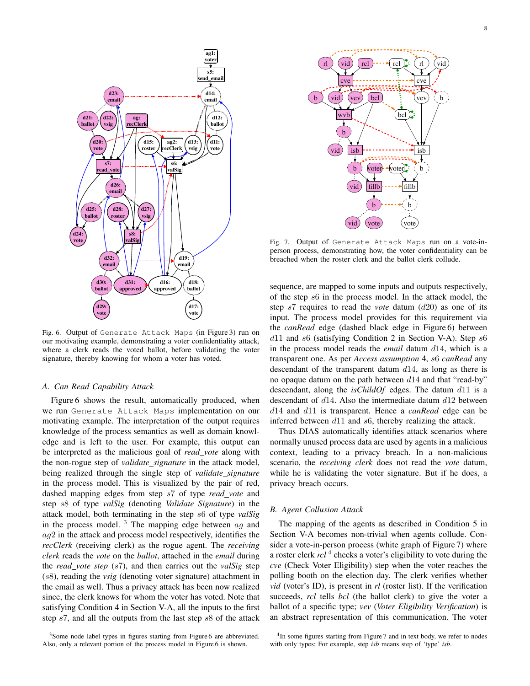

Fig. 6. Output of Generate Attack Maps (in Figure 3) run on our motivating example, demonstrating a voter confidentiality attack, where a clerk reads the voted ballot, before validating the voter signature, thereby knowing for whom a voter has voted.

## *A. Can Read Capability Attack*

Figure 6 shows the result, automatically produced, when we run Generate Attack Maps implementation on our motivating example. The interpretation of the output requires knowledge of the process semantics as well as domain knowledge and is left to the user. For example, this output can be interpreted as the malicious goal of *read vote* along with the non-rogue step of *validate signature* in the attack model, being realized through the single step of *validate signature* in the process model. This is visualized by the pair of red, dashed mapping edges from step s7 of type *read vote* and step s8 of type *valSig* (denoting *Validate Signature*) in the attack model, both terminating in the step s6 of type *valSig* in the process model.  $3$  The mapping edge between  $ag$  and  $aq2$  in the attack and process model respectively, identifies the *recClerk* (receiving clerk) as the rogue agent. The *receiving clerk* reads the *vote* on the *ballot*, attached in the *email* during the *read vote step* (s7), and then carries out the *valSig* step (s8), reading the *vsig* (denoting voter signature) attachment in the email as well. Thus a privacy attack has been now realized since, the clerk knows for whom the voter has voted. Note that satisfying Condition 4 in Section V-A, all the inputs to the first step s7, and all the outputs from the last step s8 of the attack



Fig. 7. Output of Generate Attack Maps run on a vote-inperson process, demonstrating how, the voter confidentiality can be breached when the roster clerk and the ballot clerk collude.

sequence, are mapped to some inputs and outputs respectively, of the step s6 in the process model. In the attack model, the step s7 requires to read the *vote* datum (d20) as one of its input. The process model provides for this requirement via the *canRead* edge (dashed black edge in Figure 6) between  $d11$  and s6 (satisfying Condition 2 in Section V-A). Step s6 in the process model reads the *email* datum d14, which is a transparent one. As per *Access assumption* 4, s6 *canRead* any descendant of the transparent datum  $d14$ , as long as there is no opaque datum on the path between  $d14$  and that "read-by" descendant, along the *isChildOf* edges. The datum d11 is a descendant of d14. Also the intermediate datum d12 between d14 and d11 is transparent. Hence a *canRead* edge can be inferred between d11 and s6, thereby realizing the attack.

Thus DIAS automatically identifies attack scenarios where normally unused process data are used by agents in a malicious context, leading to a privacy breach. In a non-malicious scenario, the *receiving clerk* does not read the *vote* datum, while he is validating the voter signature. But if he does, a privacy breach occurs.

## *B. Agent Collusion Attack*

The mapping of the agents as described in Condition 5 in Section V-A becomes non-trivial when agents collude. Consider a vote-in-person process (white graph of Figure 7) where a roster clerk *rcl*<sup>4</sup> checks a voter's eligibility to vote during the *cve* (Check Voter Eligibility) step when the voter reaches the polling booth on the election day. The clerk verifies whether *vid* (voter's ID), is present in *rl* (roster list). If the verification succeeds, *rcl* tells *bcl* (the ballot clerk) to give the voter a ballot of a specific type; *vev* (*Voter Eligibility Verification*) is an abstract representation of this communication. The voter

<sup>&</sup>lt;sup>3</sup>Some node label types in figures starting from Figure 6 are abbreviated. Also, only a relevant portion of the process model in Figure 6 is shown.

<sup>&</sup>lt;sup>4</sup>In some figures starting from Figure 7 and in text body, we refer to nodes with only types; For example, step *isb* means step of 'type' *isb*.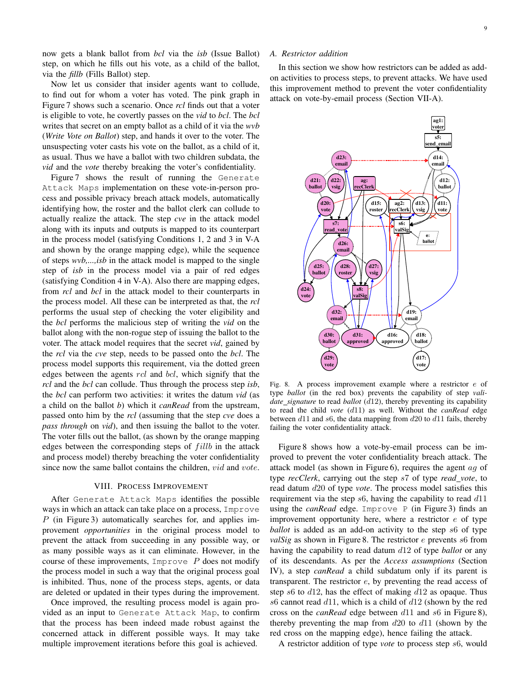now gets a blank ballot from *bcl* via the *isb* (Issue Ballot) step, on which he fills out his vote, as a child of the ballot, via the *fillb* (Fills Ballot) step.

Now let us consider that insider agents want to collude, to find out for whom a voter has voted. The pink graph in Figure 7 shows such a scenario. Once *rcl* finds out that a voter is eligible to vote, he covertly passes on the *vid* to *bcl*. The *bcl* writes that secret on an empty ballot as a child of it via the *wvb* (*Write Vote on Ballot*) step, and hands it over to the voter. The unsuspecting voter casts his vote on the ballot, as a child of it, as usual. Thus we have a ballot with two children subdata, the *vid* and the *vote* thereby breaking the voter's confidentiality.

Figure 7 shows the result of running the Generate Attack Maps implementation on these vote-in-person process and possible privacy breach attack models, automatically identifying how, the roster and the ballot clerk can collude to actually realize the attack. The step *cve* in the attack model along with its inputs and outputs is mapped to its counterpart in the process model (satisfying Conditions 1, 2 and 3 in V-A and shown by the orange mapping edge), while the sequence of steps *wvb,...,isb* in the attack model is mapped to the single step of *isb* in the process model via a pair of red edges (satisfying Condition 4 in V-A). Also there are mapping edges, from *rcl* and *bcl* in the attack model to their counterparts in the process model. All these can be interpreted as that, the *rcl* performs the usual step of checking the voter eligibility and the *bcl* performs the malicious step of writing the *vid* on the ballot along with the non-rogue step of issuing the ballot to the voter. The attack model requires that the secret *vid*, gained by the *rcl* via the *cve* step, needs to be passed onto the *bcl*. The process model supports this requirement, via the dotted green edges between the agents  $rcl$  and  $bcl$ , which signify that the *rcl* and the *bcl* can collude. Thus through the process step *isb*, the *bcl* can perform two activities: it writes the datum *vid* (as a child on the ballot *b*) which it *canRead* from the upstream, passed onto him by the *rcl* (assuming that the step *cve* does a *pass through* on *vid*), and then issuing the ballot to the voter. The voter fills out the ballot, (as shown by the orange mapping edges between the corresponding steps of  $fillb$  in the attack and process model) thereby breaching the voter confidentiality since now the same ballot contains the children, vid and vote.

### VIII. PROCESS IMPROVEMENT

After Generate Attack Maps identifies the possible ways in which an attack can take place on a process, Improve P (in Figure 3) automatically searches for, and applies improvement *opportunities* in the original process model to prevent the attack from succeeding in any possible way, or as many possible ways as it can eliminate. However, in the course of these improvements, Improve  $P$  does not modify the process model in such a way that the original process goal is inhibited. Thus, none of the process steps, agents, or data are deleted or updated in their types during the improvement.

Once improved, the resulting process model is again provided as an input to Generate Attack Map, to confirm that the process has been indeed made robust against the concerned attack in different possible ways. It may take multiple improvement iterations before this goal is achieved.

#### *A. Restrictor addition*

In this section we show how restrictors can be added as addon activities to process steps, to prevent attacks. We have used this improvement method to prevent the voter confidentiality attack on vote-by-email process (Section VII-A).



Fig. 8. A process improvement example where a restrictor e of type *ballot* (in the red box) prevents the capability of step *validate signature* to read *ballot* (d12), thereby preventing its capability to read the child *vote* (d11) as well. Without the *canRead* edge between  $d11$  and  $s6$ , the data mapping from  $d20$  to  $d11$  fails, thereby failing the voter confidentiality attack.

Figure 8 shows how a vote-by-email process can be improved to prevent the voter confidentiality breach attack. The attack model (as shown in Figure 6), requires the agent ag of type *recClerk*, carrying out the step s7 of type *read vote*, to read datum d20 of type *vote*. The process model satisfies this requirement via the step  $s6$ , having the capability to read  $d11$ using the *canRead* edge. Improve P (in Figure 3) finds an improvement opportunity here, where a restrictor  $e$  of type *ballot* is added as an add-on activity to the step s6 of type *valSig* as shown in Figure 8. The restrictor *e* prevents s6 from having the capability to read datum d12 of type *ballot* or any of its descendants. As per the *Access assumptions* (Section IV), a step *canRead* a child subdatum only if its parent is transparent. The restrictor  $e$ , by preventing the read access of step s6 to  $d12$ , has the effect of making  $d12$  as opaque. Thus s6 cannot read  $d11$ , which is a child of  $d12$  (shown by the red cross on the *canRead* edge between d11 and s6 in Figure 8), thereby preventing the map from  $d20$  to  $d11$  (shown by the red cross on the mapping edge), hence failing the attack.

A restrictor addition of type *vote* to process step s6, would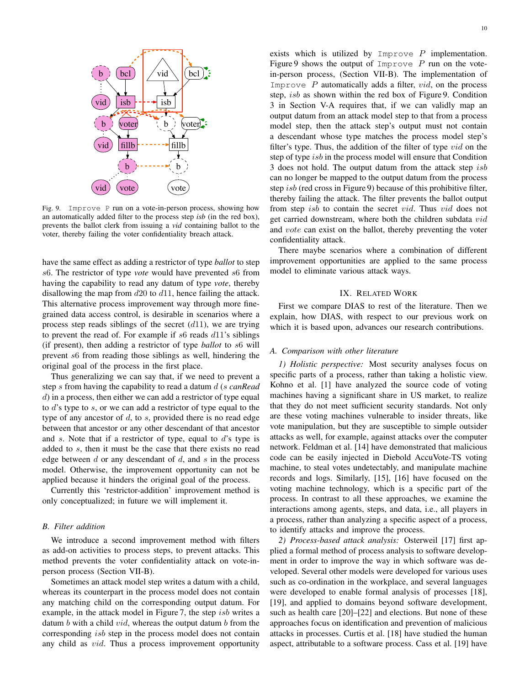

Fig. 9. Improve P run on a vote-in-person process, showing how an automatically added filter to the process step *isb* (in the red box), prevents the ballot clerk from issuing a *vid* containing ballot to the voter, thereby failing the voter confidentiality breach attack.

have the same effect as adding a restrictor of type *ballot* to step s6. The restrictor of type *vote* would have prevented s6 from having the capability to read any datum of type *vote*, thereby disallowing the map from  $d20$  to  $d11$ , hence failing the attack. This alternative process improvement way through more finegrained data access control, is desirable in scenarios where a process step reads siblings of the secret  $(d11)$ , we are trying to prevent the read of. For example if  $s6$  reads  $d11$ 's siblings (if present), then adding a restrictor of type *ballot* to s6 will prevent s6 from reading those siblings as well, hindering the original goal of the process in the first place.

Thus generalizing we can say that, if we need to prevent a step s from having the capability to read a datum d (s *canRead* d) in a process, then either we can add a restrictor of type equal to d's type to s, or we can add a restrictor of type equal to the type of any ancestor of  $d$ , to  $s$ , provided there is no read edge between that ancestor or any other descendant of that ancestor and s. Note that if a restrictor of type, equal to  $d$ 's type is added to s, then it must be the case that there exists no read edge between  $d$  or any descendant of  $d$ , and  $s$  in the process model. Otherwise, the improvement opportunity can not be applied because it hinders the original goal of the process.

Currently this 'restrictor-addition' improvement method is only conceptualized; in future we will implement it.

## *B. Filter addition*

We introduce a second improvement method with filters as add-on activities to process steps, to prevent attacks. This method prevents the voter confidentiality attack on vote-inperson process (Section VII-B).

Sometimes an attack model step writes a datum with a child, whereas its counterpart in the process model does not contain any matching child on the corresponding output datum. For example, in the attack model in Figure 7, the step isb writes a datum  $b$  with a child  $vid$ , whereas the output datum  $b$  from the corresponding *isb* step in the process model does not contain any child as vid. Thus a process improvement opportunity exists which is utilized by Improve  $P$  implementation. Figure 9 shows the output of Improve  $P$  run on the votein-person process, (Section VII-B). The implementation of Improve  $P$  automatically adds a filter,  $vid$ , on the process step, isb as shown within the red box of Figure 9. Condition 3 in Section V-A requires that, if we can validly map an output datum from an attack model step to that from a process model step, then the attack step's output must not contain a descendant whose type matches the process model step's filter's type. Thus, the addition of the filter of type  $vid$  on the step of type *isb* in the process model will ensure that Condition 3 does not hold. The output datum from the attack step isb can no longer be mapped to the output datum from the process step isb (red cross in Figure 9) because of this prohibitive filter, thereby failing the attack. The filter prevents the ballot output from step isb to contain the secret vid. Thus vid does not get carried downstream, where both the children subdata vid and vote can exist on the ballot, thereby preventing the voter confidentiality attack.

There maybe scenarios where a combination of different improvement opportunities are applied to the same process model to eliminate various attack ways.

## IX. RELATED WORK

First we compare DIAS to rest of the literature. Then we explain, how DIAS, with respect to our previous work on which it is based upon, advances our research contributions.

## *A. Comparison with other literature*

*1) Holistic perspective:* Most security analyses focus on specific parts of a process, rather than taking a holistic view. Kohno et al. [1] have analyzed the source code of voting machines having a significant share in US market, to realize that they do not meet sufficient security standards. Not only are these voting machines vulnerable to insider threats, like vote manipulation, but they are susceptible to simple outsider attacks as well, for example, against attacks over the computer network. Feldman et al. [14] have demonstrated that malicious code can be easily injected in Diebold AccuVote-TS voting machine, to steal votes undetectably, and manipulate machine records and logs. Similarly, [15], [16] have focused on the voting machine technology, which is a specific part of the process. In contrast to all these approaches, we examine the interactions among agents, steps, and data, i.e., all players in a process, rather than analyzing a specific aspect of a process, to identify attacks and improve the process.

*2) Process-based attack analysis:* Osterweil [17] first applied a formal method of process analysis to software development in order to improve the way in which software was developed. Several other models were developed for various uses such as co-ordination in the workplace, and several languages were developed to enable formal analysis of processes [18], [19], and applied to domains beyond software development, such as health care [20]–[22] and elections. But none of these approaches focus on identification and prevention of malicious attacks in processes. Curtis et al. [18] have studied the human aspect, attributable to a software process. Cass et al. [19] have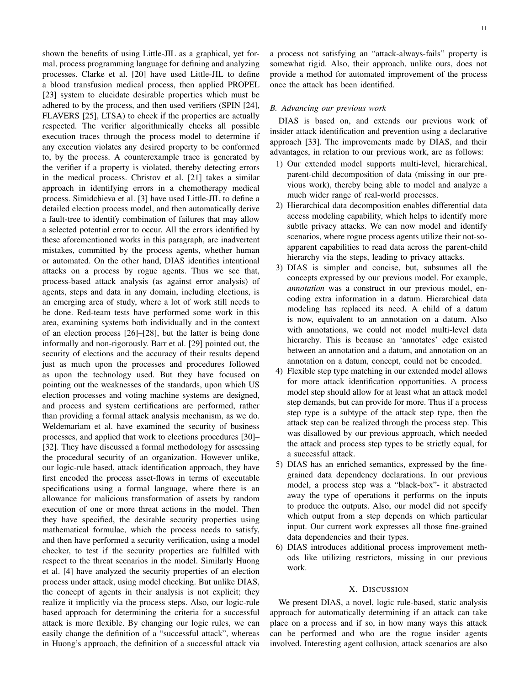shown the benefits of using Little-JIL as a graphical, yet formal, process programming language for defining and analyzing processes. Clarke et al. [20] have used Little-JIL to define a blood transfusion medical process, then applied PROPEL [23] system to elucidate desirable properties which must be adhered to by the process, and then used verifiers (SPIN [24], FLAVERS [25], LTSA) to check if the properties are actually respected. The verifier algorithmically checks all possible execution traces through the process model to determine if any execution violates any desired property to be conformed to, by the process. A counterexample trace is generated by the verifier if a property is violated, thereby detecting errors in the medical process. Christov et al. [21] takes a similar approach in identifying errors in a chemotherapy medical process. Simidchieva et al. [3] have used Little-JIL to define a detailed election process model, and then automatically derive a fault-tree to identify combination of failures that may allow a selected potential error to occur. All the errors identified by these aforementioned works in this paragraph, are inadvertent mistakes, committed by the process agents, whether human or automated. On the other hand, DIAS identifies intentional attacks on a process by rogue agents. Thus we see that, process-based attack analysis (as against error analysis) of agents, steps and data in any domain, including elections, is an emerging area of study, where a lot of work still needs to be done. Red-team tests have performed some work in this area, examining systems both individually and in the context of an election process [26]–[28], but the latter is being done informally and non-rigorously. Barr et al. [29] pointed out, the security of elections and the accuracy of their results depend just as much upon the processes and procedures followed as upon the technology used. But they have focused on pointing out the weaknesses of the standards, upon which US election processes and voting machine systems are designed, and process and system certifications are performed, rather than providing a formal attack analysis mechanism, as we do. Weldemariam et al. have examined the security of business processes, and applied that work to elections procedures [30]– [32]. They have discussed a formal methodology for assessing the procedural security of an organization. However unlike, our logic-rule based, attack identification approach, they have first encoded the process asset-flows in terms of executable specifications using a formal language, where there is an allowance for malicious transformation of assets by random execution of one or more threat actions in the model. Then they have specified, the desirable security properties using mathematical formulae, which the process needs to satisfy, and then have performed a security verification, using a model checker, to test if the security properties are fulfilled with respect to the threat scenarios in the model. Similarly Huong et al. [4] have analyzed the security properties of an election process under attack, using model checking. But unlike DIAS, the concept of agents in their analysis is not explicit; they realize it implicitly via the process steps. Also, our logic-rule based approach for determining the criteria for a successful attack is more flexible. By changing our logic rules, we can easily change the definition of a "successful attack", whereas in Huong's approach, the definition of a successful attack via a process not satisfying an "attack-always-fails" property is somewhat rigid. Also, their approach, unlike ours, does not provide a method for automated improvement of the process once the attack has been identified.

## *B. Advancing our previous work*

DIAS is based on, and extends our previous work of insider attack identification and prevention using a declarative approach [33]. The improvements made by DIAS, and their advantages, in relation to our previous work, are as follows:

- 1) Our extended model supports multi-level, hierarchical, parent-child decomposition of data (missing in our previous work), thereby being able to model and analyze a much wider range of real-world processes.
- 2) Hierarchical data decomposition enables differential data access modeling capability, which helps to identify more subtle privacy attacks. We can now model and identify scenarios, where rogue process agents utilize their not-soapparent capabilities to read data across the parent-child hierarchy via the steps, leading to privacy attacks.
- 3) DIAS is simpler and concise, but, subsumes all the concepts expressed by our previous model. For example, *annotation* was a construct in our previous model, encoding extra information in a datum. Hierarchical data modeling has replaced its need. A child of a datum is now, equivalent to an annotation on a datum. Also with annotations, we could not model multi-level data hierarchy. This is because an 'annotates' edge existed between an annotation and a datum, and annotation on an annotation on a datum, concept, could not be encoded.
- 4) Flexible step type matching in our extended model allows for more attack identification opportunities. A process model step should allow for at least what an attack model step demands, but can provide for more. Thus if a process step type is a subtype of the attack step type, then the attack step can be realized through the process step. This was disallowed by our previous approach, which needed the attack and process step types to be strictly equal, for a successful attack.
- 5) DIAS has an enriched semantics, expressed by the finegrained data dependency declarations. In our previous model, a process step was a "black-box"- it abstracted away the type of operations it performs on the inputs to produce the outputs. Also, our model did not specify which output from a step depends on which particular input. Our current work expresses all those fine-grained data dependencies and their types.
- 6) DIAS introduces additional process improvement methods like utilizing restrictors, missing in our previous work.

#### X. DISCUSSION

We present DIAS, a novel, logic rule-based, static analysis approach for automatically determining if an attack can take place on a process and if so, in how many ways this attack can be performed and who are the rogue insider agents involved. Interesting agent collusion, attack scenarios are also